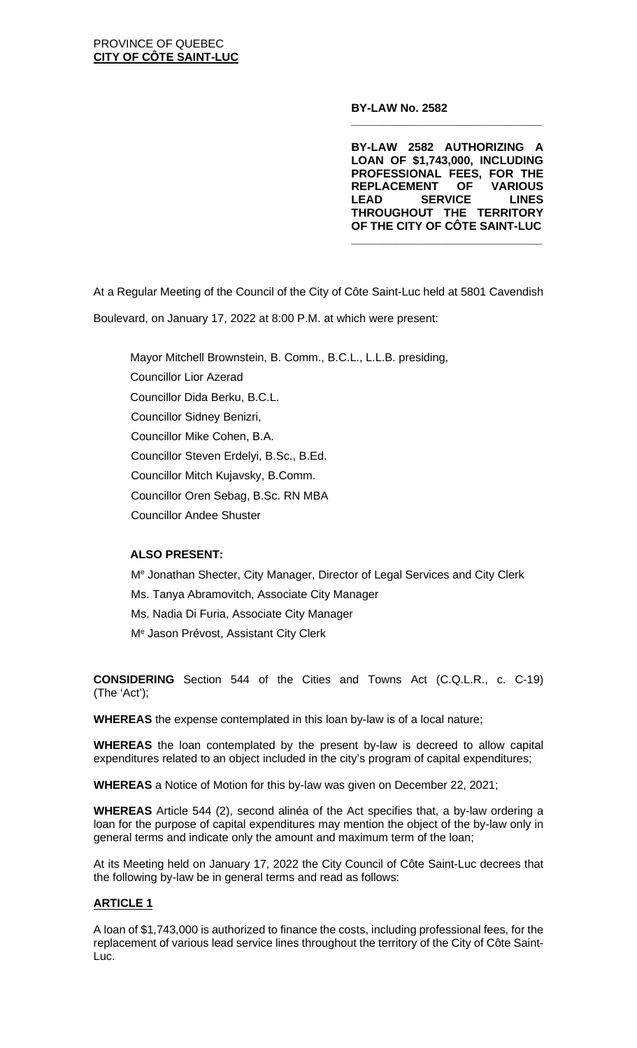**BY-LAW No. 2582**

**BY-LAW 2582 AUTHORIZING A LOAN OF \$1,743,000, INCLUDING PROFESSIONAL FEES, FOR THE REPLACEMENT OF VARIOUS SERVICE THROUGHOUT THE TERRITORY OF THE CITY OF CÔTE SAINT-LUC**

**\_\_\_\_\_\_\_\_\_\_\_\_\_\_\_\_\_\_\_\_\_\_\_\_\_\_\_\_\_\_**

**\_\_\_\_\_\_\_\_\_\_\_\_\_\_\_\_\_\_\_\_\_\_\_\_\_\_\_\_\_\_**

At a Regular Meeting of the Council of the City of Côte Saint-Luc held at 5801 Cavendish Boulevard, on January 17, 2022 at 8:00 P.M. at which were present:

Mayor Mitchell Brownstein, B. Comm., B.C.L., L.L.B. presiding, Councillor Lior Azerad Councillor Dida Berku, B.C.L. Councillor Sidney Benizri, Councillor Mike Cohen, B.A. Councillor Steven Erdelyi, B.Sc., B.Ed. Councillor Mitch Kujavsky, B.Comm. Councillor Oren Sebag, B.Sc. RN MBA Councillor Andee Shuster

# **ALSO PRESENT:**

Me Jonathan Shecter, City Manager, Director of Legal Services and City Clerk Ms. Tanya Abramovitch, Associate City Manager Ms. Nadia Di Furia, Associate City Manager Me Jason Prévost, Assistant City Clerk

**CONSIDERING** Section 544 of the Cities and Towns Act (C.Q.L.R., c. C-19) (The 'Act');

**WHEREAS** the expense contemplated in this loan by-law is of a local nature;

**WHEREAS** the loan contemplated by the present by-law is decreed to allow capital expenditures related to an object included in the city's program of capital expenditures;

**WHEREAS** a Notice of Motion for this by-law was given on December 22, 2021;

**WHEREAS** Article 544 (2), second alinéa of the Act specifies that, a by-law ordering a loan for the purpose of capital expenditures may mention the object of the by-law only in general terms and indicate only the amount and maximum term of the loan;

At its Meeting held on January 17, 2022 the City Council of Côte Saint-Luc decrees that the following by-law be in general terms and read as follows:

### **ARTICLE 1**

A loan of \$1,743,000 is authorized to finance the costs, including professional fees, for the replacement of various lead service lines throughout the territory of the City of Côte Saint-Luc.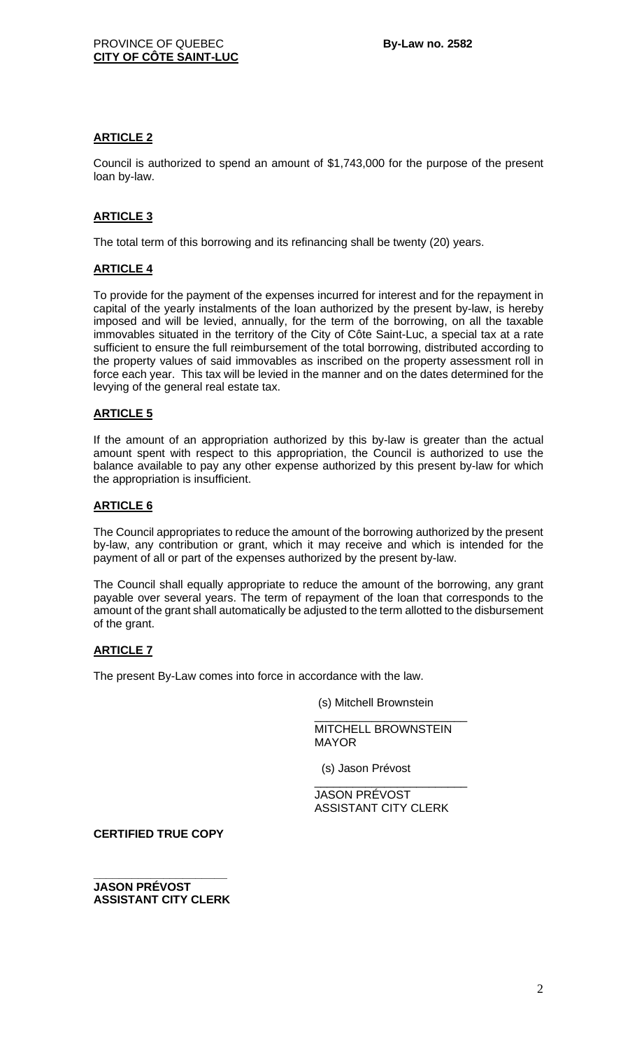## **ARTICLE 2**

Council is authorized to spend an amount of \$1,743,000 for the purpose of the present loan by-law.

# **ARTICLE 3**

The total term of this borrowing and its refinancing shall be twenty (20) years.

### **ARTICLE 4**

To provide for the payment of the expenses incurred for interest and for the repayment in capital of the yearly instalments of the loan authorized by the present by-law, is hereby imposed and will be levied, annually, for the term of the borrowing, on all the taxable immovables situated in the territory of the City of Côte Saint-Luc, a special tax at a rate sufficient to ensure the full reimbursement of the total borrowing, distributed according to the property values of said immovables as inscribed on the property assessment roll in force each year. This tax will be levied in the manner and on the dates determined for the levying of the general real estate tax.

### **ARTICLE 5**

If the amount of an appropriation authorized by this by-law is greater than the actual amount spent with respect to this appropriation, the Council is authorized to use the balance available to pay any other expense authorized by this present by-law for which the appropriation is insufficient.

### **ARTICLE 6**

The Council appropriates to reduce the amount of the borrowing authorized by the present by-law, any contribution or grant, which it may receive and which is intended for the payment of all or part of the expenses authorized by the present by-law.

The Council shall equally appropriate to reduce the amount of the borrowing, any grant payable over several years. The term of repayment of the loan that corresponds to the amount of the grant shall automatically be adjusted to the term allotted to the disbursement of the grant.

# **ARTICLE 7**

The present By-Law comes into force in accordance with the law.

(s) Mitchell Brownstein

\_\_\_\_\_\_\_\_\_\_\_\_\_\_\_\_\_\_\_\_\_\_\_\_ MITCHELL BROWNSTEIN MAYOR

(s) Jason Prévost

\_\_\_\_\_\_\_\_\_\_\_\_\_\_\_\_\_\_\_\_\_\_\_\_ JASON PRÉVOST ASSISTANT CITY CLERK

**CERTIFIED TRUE COPY**

**\_\_\_\_\_\_\_\_\_\_\_\_\_\_\_\_\_\_\_\_\_ JASON PRÉVOST ASSISTANT CITY CLERK**